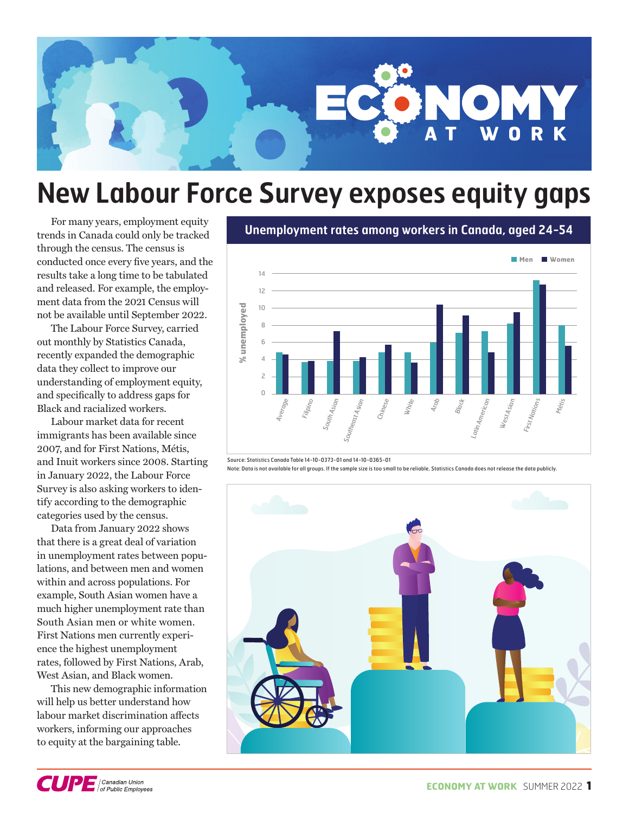

## **New Labour Force Survey exposes equity gaps**

For many years, employment equity trends in Canada could only be tracked through the census. The census is conducted once every five years, and the results take a long time to be tabulated and released. For example, the employment data from the 2021 Census will not be available until September 2022.

The Labour Force Survey, carried out monthly by Statistics Canada, recently expanded the demographic data they collect to improve our understanding of employment equity, and specifically to address gaps for Black and racialized workers.

Labour market data for recent immigrants has been available since 2007, and for First Nations, Métis, and Inuit workers since 2008. Starting in January 2022, the Labour Force Survey is also asking workers to identify according to the demographic categories used by the census.

Data from January 2022 shows that there is a great deal of variation in unemployment rates between populations, and between men and women within and across populations. For example, South Asian women have a much higher unemployment rate than South Asian men or white women. First Nations men currently experience the highest unemployment rates, followed by First Nations, Arab, West Asian, and Black women.

This new demographic information will help us better understand how labour market discrimination affects workers, informing our approaches to equity at the bargaining table.

#### **Unemployment rates among workers in Canada, aged 24-54**



Source: Statistics Canada Table 14-10-0373-01 and 14-10-0365-01 Note: Data is not available for all groups. If the sample size is too small to be reliable, Statistics Canada does not release the data publicly.



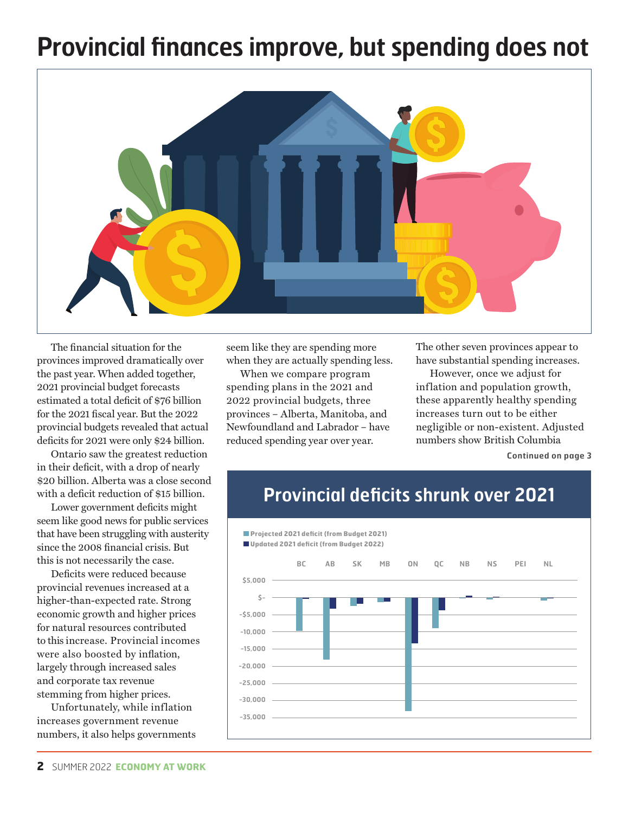# **Provincial finances improve, but spending does not**



The financial situation for the provinces improved dramatically over the past year. When added together, 2021 provincial budget forecasts estimated a total deficit of \$76 billion for the 2021 fiscal year. But the 2022 provincial budgets revealed that actual deficits for 2021 were only \$24 billion.

Ontario saw the greatest reduction in their deficit, with a drop of nearly \$20 billion. Alberta was a close second with a deficit reduction of \$15 billion.

Lower government deficits might seem like good news for public services that have been struggling with austerity since the 2008 financial crisis. But this is not necessarily the case.

Deficits were reduced because provincial revenues increased at a higher-than-expected rate. Strong economic growth and higher prices for natural resources contributed to this increase. Provincial incomes were also boosted by inflation, largely through increased sales and corporate tax revenue stemming from higher prices.

Unfortunately, while inflation increases government revenue numbers, it also helps governments seem like they are spending more when they are actually spending less.

When we compare program spending plans in the 2021 and 2022 provincial budgets, three provinces – Alberta, Manitoba, and Newfoundland and Labrador – have reduced spending year over year.

The other seven provinces appear to have substantial spending increases.

However, once we adjust for inflation and population growth, these apparently healthy spending increases turn out to be either negligible or non-existent. Adjusted numbers show British Columbia

**Continued on page 3**

### **Provincial deficits shrunk over 2021**

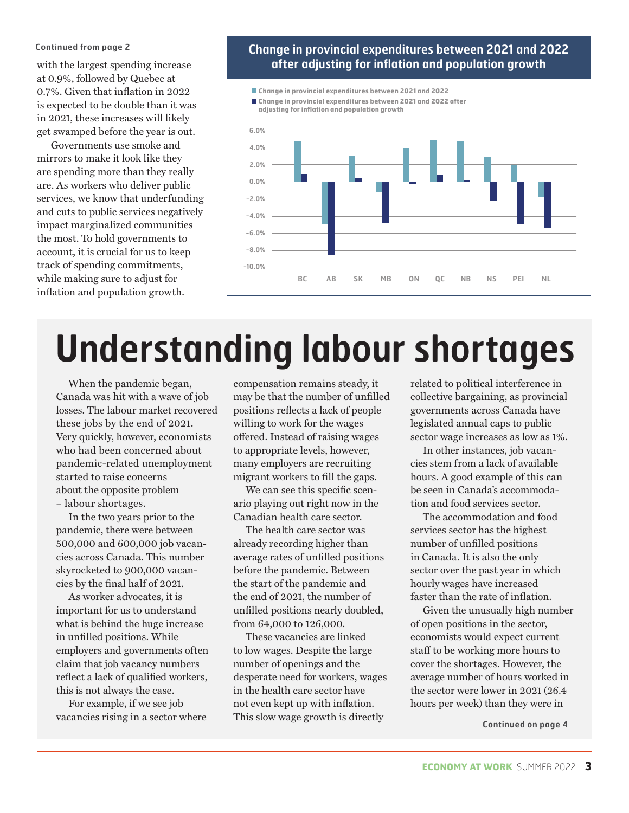#### **Continued from page 2**

with the largest spending increase at 0.9%, followed by Quebec at 0.7%. Given that inflation in 2022 is expected to be double than it was in 2021, these increases will likely get swamped before the year is out.

Governments use smoke and mirrors to make it look like they are spending more than they really are. As workers who deliver public services, we know that underfunding and cuts to public services negatively impact marginalized communities the most. To hold governments to account, it is crucial for us to keep track of spending commitments, while making sure to adjust for inflation and population growth.

#### **Change in provincial expenditures between 2021 and 2022 after adjusting for inflation and population growth**



# **Understanding labour shortages**

When the pandemic began, Canada was hit with a wave of job losses. The labour market recovered these jobs by the end of 2021. Very quickly, however, economists who had been concerned about pandemic-related unemployment started to raise concerns about the opposite problem – labour shortages.

In the two years prior to the pandemic, there were between 500,000 and 600,000 job vacancies across Canada. This number skyrocketed to 900,000 vacancies by the final half of 2021.

As worker advocates, it is important for us to understand what is behind the huge increase in unfilled positions. While employers and governments often claim that job vacancy numbers reflect a lack of qualified workers, this is not always the case.

For example, if we see job vacancies rising in a sector where compensation remains steady, it may be that the number of unfilled positions reflects a lack of people willing to work for the wages offered. Instead of raising wages to appropriate levels, however, many employers are recruiting migrant workers to fill the gaps.

We can see this specific scenario playing out right now in the Canadian health care sector.

The health care sector was already recording higher than average rates of unfilled positions before the pandemic. Between the start of the pandemic and the end of 2021, the number of unfilled positions nearly doubled, from 64,000 to 126,000.

These vacancies are linked to low wages. Despite the large number of openings and the desperate need for workers, wages in the health care sector have not even kept up with inflation. This slow wage growth is directly

related to political interference in collective bargaining, as provincial governments across Canada have legislated annual caps to public sector wage increases as low as 1%.

In other instances, job vacancies stem from a lack of available hours. A good example of this can be seen in Canada's accommodation and food services sector.

The accommodation and food services sector has the highest number of unfilled positions in Canada. It is also the only sector over the past year in which hourly wages have increased faster than the rate of inflation.

Given the unusually high number of open positions in the sector, economists would expect current staff to be working more hours to cover the shortages. However, the average number of hours worked in the sector were lower in 2021 (26.4 hours per week) than they were in

**Continued on page 4**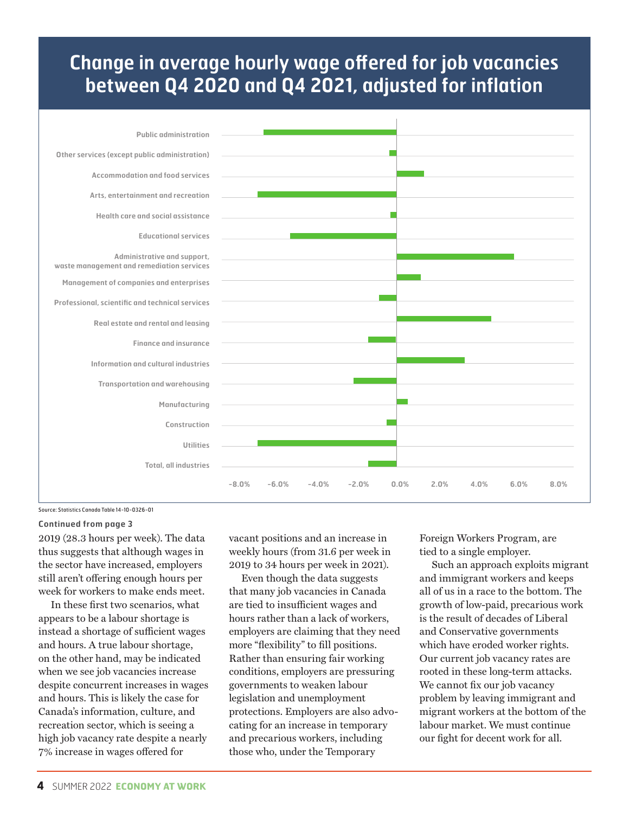### **Change in average hourly wage offered for job vacancies between Q4 2020 and Q4 2021, adjusted for inflation**



Source: Statistics Canada Table 14-10-0326-01

#### **Continued from page 3**

2019 (28.3 hours per week). The data thus suggests that although wages in the sector have increased, employers still aren't offering enough hours per week for workers to make ends meet.

In these first two scenarios, what appears to be a labour shortage is instead a shortage of sufficient wages and hours. A true labour shortage, on the other hand, may be indicated when we see job vacancies increase despite concurrent increases in wages and hours. This is likely the case for Canada's information, culture, and recreation sector, which is seeing a high job vacancy rate despite a nearly 7% increase in wages offered for

vacant positions and an increase in weekly hours (from 31.6 per week in 2019 to 34 hours per week in 2021).

Even though the data suggests that many job vacancies in Canada are tied to insufficient wages and hours rather than a lack of workers, employers are claiming that they need more "flexibility" to fill positions. Rather than ensuring fair working conditions, employers are pressuring governments to weaken labour legislation and unemployment protections. Employers are also advocating for an increase in temporary and precarious workers, including those who, under the Temporary

Foreign Workers Program, are tied to a single employer.

Such an approach exploits migrant and immigrant workers and keeps all of us in a race to the bottom. The growth of low-paid, precarious work is the result of decades of Liberal and Conservative governments which have eroded worker rights. Our current job vacancy rates are rooted in these long-term attacks. We cannot fix our job vacancy problem by leaving immigrant and migrant workers at the bottom of the labour market. We must continue our fight for decent work for all.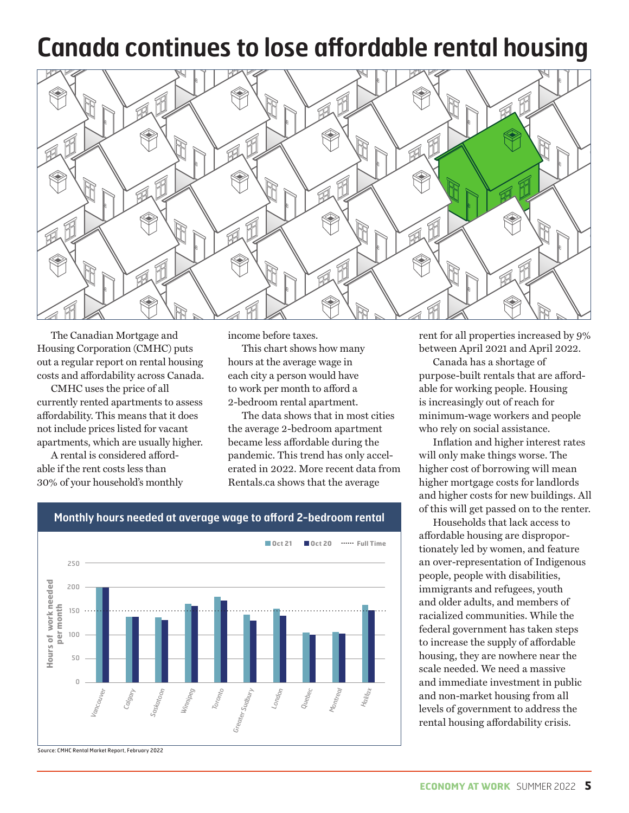## **Canada continues to lose affordable rental housing**



The Canadian Mortgage and Housing Corporation (CMHC) puts out a regular report on rental housing costs and affordability across Canada.

CMHC uses the price of all currently rented apartments to assess affordability. This means that it does not include prices listed for vacant apartments, which are usually higher.

A rental is considered affordable if the rent costs less than 30% of your household's monthly income before taxes.

This chart shows how many hours at the average wage in each city a person would have to work per month to afford a 2-bedroom rental apartment.

The data shows that in most cities the average 2-bedroom apartment became less affordable during the pandemic. This trend has only accelerated in 2022. More recent data from Rentals.ca shows that the average



#### **Monthly hours needed at average wage to afford 2-bedroom rental**

rent for all properties increased by 9% between April 2021 and April 2022.

Canada has a shortage of purpose-built rentals that are affordable for working people. Housing is increasingly out of reach for minimum-wage workers and people who rely on social assistance.

Inflation and higher interest rates will only make things worse. The higher cost of borrowing will mean higher mortgage costs for landlords and higher costs for new buildings. All of this will get passed on to the renter.

Households that lack access to affordable housing are disproportionately led by women, and feature an over-representation of Indigenous people, people with disabilities, immigrants and refugees, youth and older adults, and members of racialized communities. While the federal government has taken steps to increase the supply of affordable housing, they are nowhere near the scale needed. We need a massive and immediate investment in public and non-market housing from all levels of government to address the rental housing affordability crisis.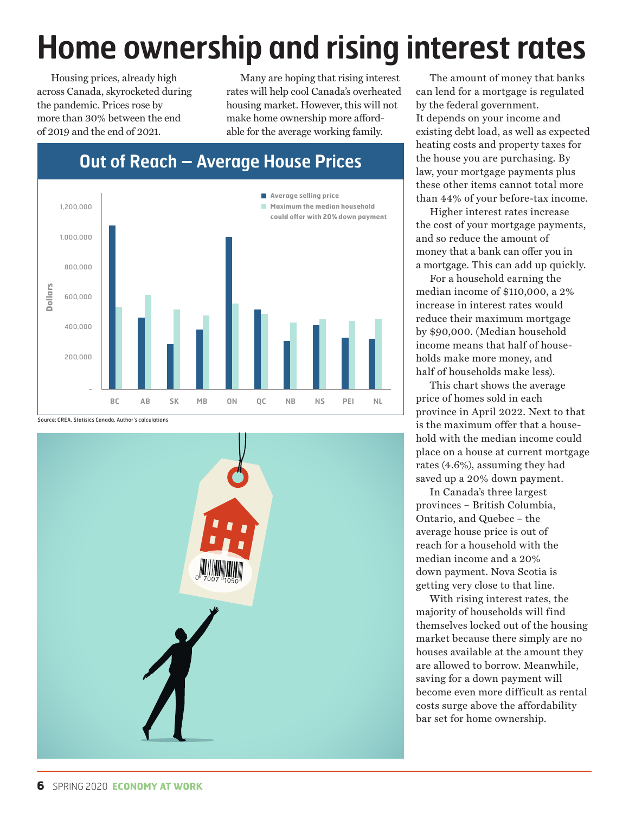# **Home ownership and rising interest rates**

Housing prices, already high across Canada, skyrocketed during the pandemic. Prices rose by more than 30% between the end of 2019 and the end of 2021.

Many are hoping that rising interest rates will help cool Canada's overheated housing market. However, this will not make home ownership more affordable for the average working family.

### **Out of Reach – Average House Prices**



Source: CREA, Statisics Canada, Author's calculations



The amount of money that banks can lend for a mortgage is regulated by the federal government. It depends on your income and existing debt load, as well as expected heating costs and property taxes for the house you are purchasing. By law, your mortgage payments plus these other items cannot total more than 44% of your before-tax income.

Higher interest rates increase the cost of your mortgage payments, and so reduce the amount of money that a bank can offer you in a mortgage. This can add up quickly.

For a household earning the median income of \$110,000, a 2% increase in interest rates would reduce their maximum mortgage by \$90,000. (Median household income means that half of households make more money, and half of households make less).

This chart shows the average price of homes sold in each province in April 2022. Next to that is the maximum offer that a household with the median income could place on a house at current mortgage rates (4.6%), assuming they had saved up a 20% down payment.

In Canada's three largest provinces – British Columbia, Ontario, and Quebec – the average house price is out of reach for a household with the median income and a 20% down payment. Nova Scotia is getting very close to that line.

With rising interest rates, the majority of households will find themselves locked out of the housing market because there simply are no houses available at the amount they are allowed to borrow. Meanwhile, saving for a down payment will become even more difficult as rental costs surge above the affordability bar set for home ownership.